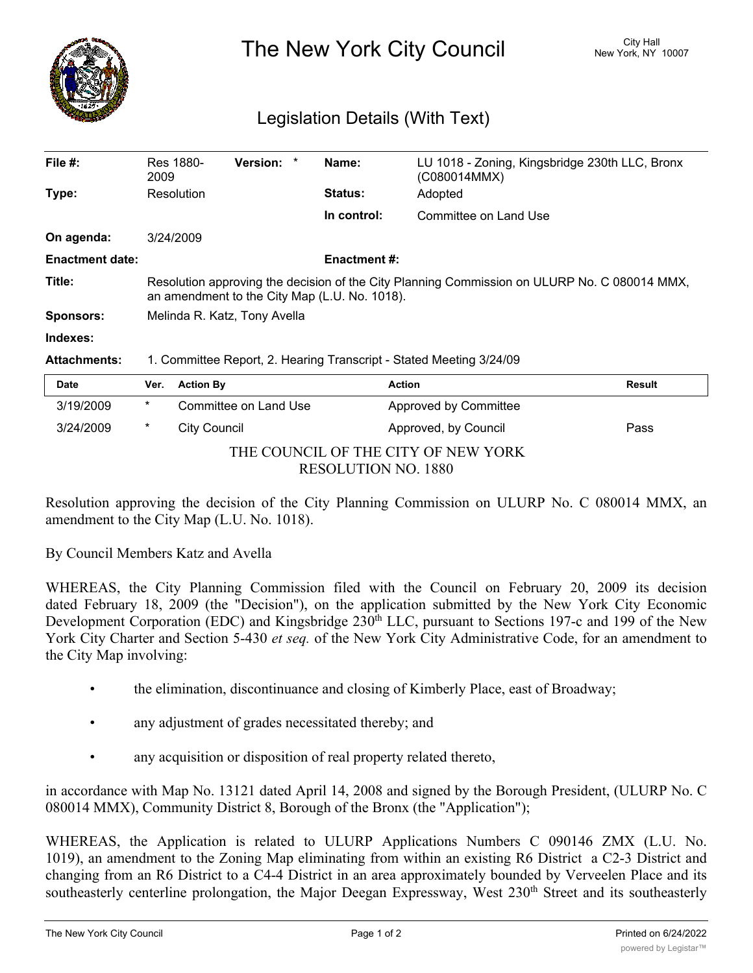

The New York City Council New York, NY 10007

## Legislation Details (With Text)

| File #:                | Res 1880-<br>2009                                                                                                                             | Version: *            |  | Name:               | (C080014MMX)          | LU 1018 - Zoning, Kingsbridge 230th LLC, Bronx |
|------------------------|-----------------------------------------------------------------------------------------------------------------------------------------------|-----------------------|--|---------------------|-----------------------|------------------------------------------------|
| Type:                  | Resolution                                                                                                                                    |                       |  | <b>Status:</b>      | Adopted               |                                                |
|                        |                                                                                                                                               |                       |  | In control:         | Committee on Land Use |                                                |
| On agenda:             | 3/24/2009                                                                                                                                     |                       |  |                     |                       |                                                |
| <b>Enactment date:</b> |                                                                                                                                               |                       |  | <b>Enactment #:</b> |                       |                                                |
| Title:                 | Resolution approving the decision of the City Planning Commission on ULURP No. C 080014 MMX,<br>an amendment to the City Map (L.U. No. 1018). |                       |  |                     |                       |                                                |
| <b>Sponsors:</b>       | Melinda R. Katz, Tony Avella                                                                                                                  |                       |  |                     |                       |                                                |
| Indexes:               |                                                                                                                                               |                       |  |                     |                       |                                                |
| <b>Attachments:</b>    | 1. Committee Report, 2. Hearing Transcript - Stated Meeting 3/24/09                                                                           |                       |  |                     |                       |                                                |
| <b>Date</b>            | Ver.                                                                                                                                          | <b>Action By</b>      |  |                     | <b>Action</b>         | <b>Result</b>                                  |
| 3/19/2009              | $\star$                                                                                                                                       | Committee on Land Use |  |                     | Approved by Committee |                                                |

| THE COUNCIL OF THE CITY OF NEW YORK |
|-------------------------------------|
| RESOLUTION NO. 1880                 |

3/24/2009 \* City Council Approved, by Council Pass

Resolution approving the decision of the City Planning Commission on ULURP No. C 080014 MMX, an amendment to the City Map (L.U. No. 1018).

By Council Members Katz and Avella

WHEREAS, the City Planning Commission filed with the Council on February 20, 2009 its decision dated February 18, 2009 (the "Decision"), on the application submitted by the New York City Economic Development Corporation (EDC) and Kingsbridge 230<sup>th</sup> LLC, pursuant to Sections 197-c and 199 of the New York City Charter and Section 5-430 *et seq.* of the New York City Administrative Code, for an amendment to the City Map involving:

- the elimination, discontinuance and closing of Kimberly Place, east of Broadway;
- any adjustment of grades necessitated thereby; and
- any acquisition or disposition of real property related thereto,

in accordance with Map No. 13121 dated April 14, 2008 and signed by the Borough President, (ULURP No. C 080014 MMX), Community District 8, Borough of the Bronx (the "Application");

WHEREAS, the Application is related to ULURP Applications Numbers C 090146 ZMX (L.U. No. 1019), an amendment to the Zoning Map eliminating from within an existing R6 District a C2-3 District and changing from an R6 District to a C4-4 District in an area approximately bounded by Verveelen Place and its southeasterly centerline prolongation, the Major Deegan Expressway, West 230<sup>th</sup> Street and its southeasterly